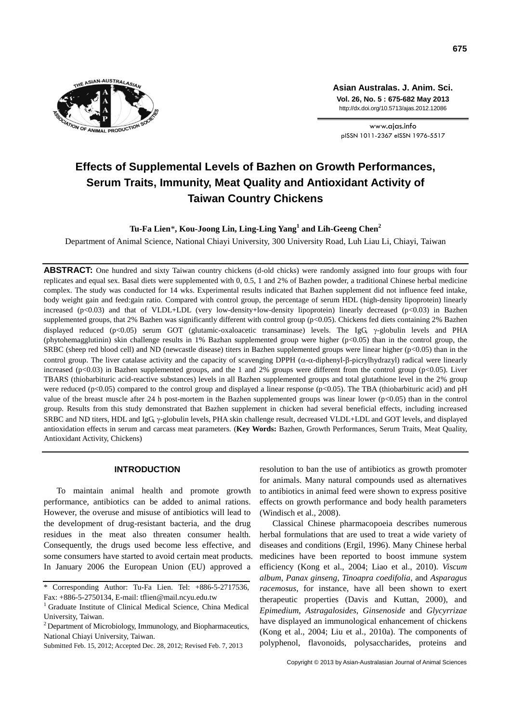

**Asian Australas. J. Anim. Sci. Vol. 26, No. 5 : 675-682 May 2013** http://dx.doi.org/10.5713/ajas.2012.12086

www.ajas.info pISSN 1011-2367 eISSN 1976-5517

# **Effects of Supplemental Levels of Bazhen on Growth Performances, Serum Traits, Immunity, Meat Quality and Antioxidant Activity of Taiwan Country Chickens**

**Tu-Fa Lien**\***, Kou-Joong Lin, Ling-Ling Yang<sup>1</sup> and Lih-Geeng Chen<sup>2</sup>**

Department of Animal Science, National Chiayi University, 300 University Road*,* Luh Liau Li, Chiayi, Taiwan

**ABSTRACT:** One hundred and sixty Taiwan country chickens (d-old chicks) were randomly assigned into four groups with four replicates and equal sex. Basal diets were supplemented with 0, 0.5, 1 and 2% of Bazhen powder, a traditional Chinese herbal medicine complex. The study was conducted for 14 wks. Experimental results indicated that Bazhen supplement did not influence feed intake, body weight gain and feed:gain ratio. Compared with control group, the percentage of serum HDL (high-density lipoprotein) linearly increased  $(p<0.03)$  and that of VLDL+LDL (very low-density+low-density lipoprotein) linearly decreased  $(p<0.03)$  in Bazhen supplemented groups, that 2% Bazhen was significantly different with control group (p<0.05). Chickens fed diets containing 2% Bazhen displayed reduced (p<0.05) serum GOT (glutamic-oxaloacetic transaminase) levels. The IgG  $\gamma$ -globulin levels and PHA (phytohemagglutinin) skin challenge results in 1% Bazhan supplemented group were higher (p<0.05) than in the control group, the SRBC (sheep red blood cell) and ND (newcastle disease) titers in Bazhen supplemented groups were linear higher (p<0.05) than in the control group. The liver catalase activity and the capacity of scavenging DPPH  $(\alpha$ - $\alpha$ -diphenyl- $\beta$ -picrylhydrazyl) radical were linearly increased (p<0.03) in Bazhen supplemented groups, and the 1 and 2% groups were different from the control group (p<0.05). Liver TBARS (thiobarbituric acid-reactive substances) levels in all Bazhen supplemented groups and total glutathione level in the 2% group were reduced (p<0.05) compared to the control group and displayed a linear response (p<0.05). The TBA (thiobarbituric acid) and pH value of the breast muscle after 24 h post-mortem in the Bazhen supplemented groups was linear lower (p<0.05) than in the control group. Results from this study demonstrated that Bazhen supplement in chicken had several beneficial effects, including increased SRBC and ND titers, HDL and IgG  $\gamma$ -globulin levels, PHA skin challenge result, decreased VLDL+LDL and GOT levels, and displayed antioxidation effects in serum and carcass meat parameters. (**Key Words:** Bazhen, Growth Performances, Serum Traits, Meat Quality, Antioxidant Activity, Chickens)

#### **INTRODUCTION**

To maintain animal health and promote growth performance, antibiotics can be added to animal rations. However, the overuse and misuse of antibiotics will lead to the development of drug-resistant bacteria, and the drug residues in the meat also threaten consumer health. Consequently, the drugs used become less effective, and some consumers have started to avoid certain meat products. In January 2006 the European Union (EU) approved a resolution to ban the use of antibiotics as growth promoter for animals. Many natural compounds used as alternatives to antibiotics in animal feed were shown to express positive effects on growth performance and body health parameters (Windisch et al., 2008).

Classical Chinese pharmacopoeia describes numerous herbal formulations that are used to treat a wide variety of diseases and conditions (Ergil, 1996). Many Chinese herbal medicines have been reported to boost immune system efficiency (Kong et al., 2004; Liao et al., 2010). *Viscum album*, *Panax ginseng*, *Tinoapra coedifolia*, and *Asparagus racemosus*, for instance, have all been shown to exert therapeutic properties (Davis and Kuttan, 2000), and *Epimedium*, *Astragalosides*, *Ginsenoside* and *Glycyrrizae* have displayed an immunological enhancement of chickens (Kong et al., 2004; Liu et al., 2010a). The components of polyphenol, flavonoids, polysaccharides, proteins and

<sup>\*</sup> Corresponding Author: Tu-Fa Lien. Tel: +886-5-2717536, Fax: +886-5-2750134, E-mail: tflien@mail.ncyu.edu.tw

<sup>&</sup>lt;sup>1</sup> Graduate Institute of Clinical Medical Science, China Medical University, Taiwan.

 $2$  Department of Microbiology, Immunology, and Biopharmaceutics, National Chiayi University, Taiwan.

Submitted Feb. 15, 2012; Accepted Dec. 28, 2012; Revised Feb. 7, 2013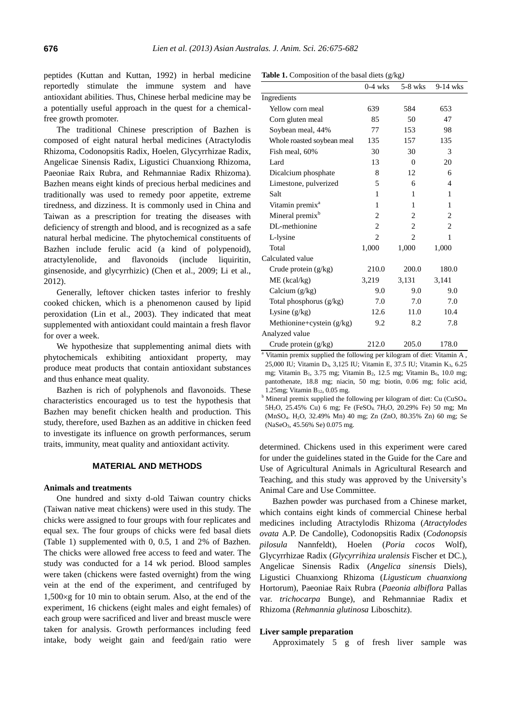peptides (Kuttan and Kuttan, 1992) in herbal medicine reportedly stimulate the immune system and have antioxidant abilities. Thus, Chinese herbal medicine may be a potentially useful approach in the quest for a chemicalfree growth promoter.

The traditional Chinese prescription of Bazhen is composed of eight natural herbal medicines (Atractylodis Rhizoma, Codonopsitis Radix, Hoelen, Glycyrrhizae Radix, Angelicae Sinensis Radix, Ligustici Chuanxiong Rhizoma, Paeoniae Raix Rubra, and Rehmanniae Radix Rhizoma). Bazhen means eight kinds of precious herbal medicines and traditionally was used to remedy poor appetite, extreme tiredness, and dizziness. It is commonly used in China and Taiwan as a prescription for treating the diseases with deficiency of strength and blood, and is recognized as a safe natural herbal medicine. The phytochemical constituents of Bazhen include ferulic acid (a kind of polypenoid), atractylenolide, and flavonoids (include liquiritin, ginsenoside, and glycyrrhizic) (Chen et al., 2009; Li et al., 2012).

Generally, leftover chicken tastes inferior to freshly cooked chicken, which is a phenomenon caused by lipid peroxidation (Lin et al., 2003). They indicated that meat supplemented with antioxidant could maintain a fresh flavor for over a week.

We hypothesize that supplementing animal diets with phytochemicals exhibiting antioxidant property, may produce meat products that contain antioxidant substances and thus enhance meat quality.

Bazhen is rich of polyphenols and flavonoids. These characteristics encouraged us to test the hypothesis that Bazhen may benefit chicken health and production. This study, therefore, used Bazhen as an additive in chicken feed to investigate its influence on growth performances, serum traits, immunity, meat quality and antioxidant activity.

## **MATERIAL AND METHODS**

#### **Animals and treatments**

One hundred and sixty d-old Taiwan country chicks (Taiwan native meat chickens) were used in this study. The chicks were assigned to four groups with four replicates and equal sex. The four groups of chicks were fed basal diets (Table 1) supplemented with 0, 0.5, 1 and 2% of Bazhen. The chicks were allowed free access to feed and water. The study was conducted for a 14 wk period. Blood samples were taken (chickens were fasted overnight) from the wing vein at the end of the experiment, and centrifuged by  $1,500 \times g$  for 10 min to obtain serum. Also, at the end of the experiment, 16 chickens (eight males and eight females) of each group were sacrificed and liver and breast muscle were taken for analysis. Growth performances including feed intake, body weight gain and feed/gain ratio were

| <b>Table 1.</b> Composition of the basal diets $(g/kg)$ |  |
|---------------------------------------------------------|--|
|---------------------------------------------------------|--|

|                             | $0-4$ wks | $5-8$ wks | $9-14$ wks     |
|-----------------------------|-----------|-----------|----------------|
| Ingredients                 |           |           |                |
| Yellow corn meal            | 639       | 584       | 653            |
| Corn gluten meal            | 85        | 50        | 47             |
| Soybean meal, 44%           | 77        | 153       | 98             |
| Whole roasted soybean meal  | 135       | 157       | 135            |
| Fish meal, 60%              | 30        | 30        | 3              |
| Lard                        | 13        | $\theta$  | 20             |
| Dicalcium phosphate         | 8         | 12        | 6              |
| Limestone, pulverized       | 5         | 6         | $\overline{4}$ |
| Salt                        | 1         | 1         | 1              |
| Vitamin premix <sup>a</sup> | 1         | 1         | 1              |
| Mineral premix <sup>b</sup> | 2         | 2         | 2              |
| DL-methionine               | 2         | 2         | 2              |
| L-lysine                    | 2         | 2         | 1              |
| Total                       | 1,000     | 1,000     | 1,000          |
| Calculated value            |           |           |                |
| Crude protein $(g/kg)$      | 210.0     | 200.0     | 180.0          |
| $ME$ (kcal/kg)              | 3,219     | 3,131     | 3,141          |
| Calcium $(g/kg)$            | 9.0       | 9.0       | 9.0            |
| Total phosphorus (g/kg)     | 7.0       | 7.0       | 7.0            |
| Lysine $(g/kg)$             | 12.6      | 11.0      | 10.4           |
| Methionine+cystein $(g/kg)$ | 9.2       | 8.2       | 7.8            |
| Analyzed value              |           |           |                |
| Crude protein (g/kg)        | 212.0     | 205.0     | 178.0          |

<sup>a</sup> Vitamin premix supplied the following per kilogram of diet: Vitamin A, 25,000 IU; Vitamin D<sub>3</sub>, 3,125 IU; Vitamin E, 37.5 IU; Vitamin K<sub>3</sub>, 6.25 mg; Vitamin  $B_1$ , 3.75 mg; Vitamin  $B_2$ , 12.5 mg; Vitamin  $B_6$ , 10.0 mg; pantothenate, 18.8 mg; niacin, 50 mg; biotin, 0.06 mg; folic acid, 1.25mg; Vitamin B<sub>12</sub>, 0.05 mg.

<sup>b</sup> Mineral premix supplied the following per kilogram of diet: Cu (CuSO<sub>4</sub>. 5H<sub>2</sub>O, 25.45% Cu) 6 mg; Fe (FeSO<sub>4.</sub> 7H<sub>2</sub>O, 20.29% Fe) 50 mg; Mn (MnSO4. H2O, 32.49% Mn) 40 mg; Zn (ZnO, 80.35% Zn) 60 mg; Se (NaSeO3, 45.56% Se) 0.075 mg.

determined. Chickens used in this experiment were cared for under the guidelines stated in the Guide for the Care and Use of Agricultural Animals in Agricultural Research and Teaching, and this study was approved by the University's Animal Care and Use Committee.

Bazhen powder was purchased from a Chinese market, which contains eight kinds of commercial Chinese herbal medicines including Atractylodis Rhizoma (*Atractylodes ovata* A.P. De Candolle), Codonopsitis Radix (*Codonopsis pilosula* Nannfeldt), Hoelen (*Poria cocos* Wolf), Glycyrrhizae Radix (*Glycyrrihiza uralensis* Fischer et DC.), Angelicae Sinensis Radix (*Angelica sinensis* Diels), Ligustici Chuanxiong Rhizoma (*Ligusticum chuanxiong* Hortorum), Paeoniae Raix Rubra (*Paeonia albiflora* Pallas var. *trichocarpa* Bunge), and Rehmanniae Radix et Rhizoma (*Rehmannia glutinosa* Liboschitz).

#### **Liver sample preparation**

Approximately 5 g of fresh liver sample was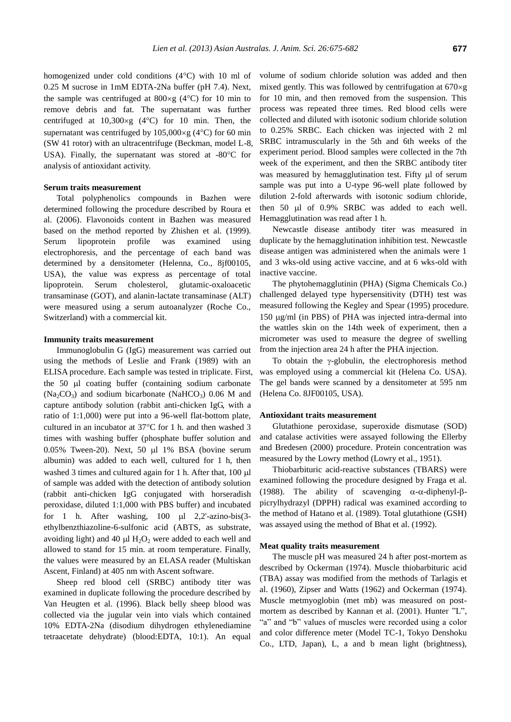homogenized under cold conditions (4°C) with 10 ml of 0.25 M sucrose in 1mM EDTA-2Na buffer (pH 7.4). Next, the sample was centrifuged at  $800 \times g$  (4°C) for 10 min to remove debris and fat. The supernatant was further centrifuged at  $10,300 \times g$  (4°C) for 10 min. Then, the supernatant was centrifuged by  $105,000 \times g$  (4 °C) for 60 min (SW 41 rotor) with an ultracentrifuge (Beckman, model L-8, USA). Finally, the supernatant was stored at -80°C for analysis of antioxidant activity.

#### **Serum traits measurement**

Total polyphenolics compounds in Bazhen were determined following the procedure described by Roura et al. (2006). Flavonoids content in Bazhen was measured based on the method reported by Zhishen et al. (1999). Serum lipoprotein profile was examined using electrophoresis, and the percentage of each band was determined by a densitometer (Helenna, Co., 8jf00105, USA), the value was express as percentage of total lipoprotein. Serum cholesterol, glutamic-oxaloacetic transaminase (GOT), and alanin-lactate transaminase (ALT) were measured using a serum autoanalyzer (Roche Co., Switzerland) with a commercial kit.

#### **Immunity traits measurement**

Immunoglobulin G (IgG) measurement was carried out using the methods of Leslie and Frank (1989) with an ELISA procedure. Each sample was tested in triplicate. First, the  $50$   $\mu$ l coating buffer (containing sodium carbonate  $(Na_2CO_3)$  and sodium bicarbonate  $(NaHCO_3)$  0.06 M and capture antibody solution (rabbit anti-chicken IgG, with a ratio of 1:1,000) were put into a 96-well flat-bottom plate, cultured in an incubator at  $37^{\circ}$ C for 1 h. and then washed 3 times with washing buffer (phosphate buffer solution and  $0.05\%$  Tween-20). Next, 50  $\mu$ l 1% BSA (bovine serum albumin) was added to each well, cultured for 1 h, then washed 3 times and cultured again for 1 h. After that,  $100 \mu$ of sample was added with the detection of antibody solution (rabbit anti-chicken IgG conjugated with horseradish peroxidase, diluted 1:1,000 with PBS buffer) and incubated for 1 h. After washing,  $100 \text{ µl}$  2,2'-azino-bis(3ethylbenzthiazoline-6-sulfonic acid (ABTS, as substrate, avoiding light) and 40  $\mu$ l H<sub>2</sub>O<sub>2</sub> were added to each well and allowed to stand for 15 min. at room temperature. Finally, the values were measured by an ELASA reader (Multiskan Ascent, Finland) at 405 nm with Ascent software.

Sheep red blood cell (SRBC) antibody titer was examined in duplicate following the procedure described by Van Heugten et al. (1996). Black belly sheep blood was collected via the jugular vein into vials which contained 10% EDTA-2Na (disodium dihydrogen ethylenediamine tetraacetate dehydrate) (blood:EDTA, 10:1). An equal volume of sodium chloride solution was added and then mixed gently. This was followed by centrifugation at  $670 \times g$ for 10 min, and then removed from the suspension. This process was repeated three times. Red blood cells were collected and diluted with isotonic sodium chloride solution to 0.25% SRBC. Each chicken was injected with 2 ml SRBC intramuscularly in the 5th and 6th weeks of the experiment period. Blood samples were collected in the 7th week of the experiment, and then the SRBC antibody titer was measured by hemagglutination test. Fifty ul of serum sample was put into a U-type 96-well plate followed by dilution 2-fold afterwards with isotonic sodium chloride, then 50 µl of 0.9% SRBC was added to each well. Hemagglutination was read after 1 h.

Newcastle disease antibody titer was measured in duplicate by the hemagglutination inhibition test. Newcastle disease antigen was administered when the animals were 1 and 3 wks-old using active vaccine, and at 6 wks-old with inactive vaccine.

The phytohemagglutinin (PHA) (Sigma Chemicals Co.) challenged delayed type hypersensitivity (DTH) test was measured following the Kegley and Spear (1995) procedure. 150 ug/ml (in PBS) of PHA was injected intra-dermal into the wattles skin on the 14th week of experiment, then a micrometer was used to measure the degree of swelling from the injection area 24 h after the PHA injection.

To obtain the  $\gamma$ -globulin, the electrophoresis method was employed using a commercial kit (Helena Co. USA). The gel bands were scanned by a densitometer at 595 nm (Helena Co. 8JF00105, USA).

#### **Antioxidant traits measurement**

Glutathione peroxidase, superoxide dismutase (SOD) and catalase activities were assayed following the Ellerby and Bredesen (2000) procedure. Protein concentration was measured by the Lowry method (Lowry et al., 1951).

Thiobarbituric acid-reactive substances (TBARS) were examined following the procedure designed by Fraga et al. (1988). The ability of scavenging  $\alpha$ - $\alpha$ -diphenyl- $\beta$ picrylhydrazyl (DPPH) radical was examined according to the method of Hatano et al. (1989). Total glutathione (GSH) was assayed using the method of Bhat et al. (1992).

#### **Meat quality traits measurement**

The muscle pH was measured 24 h after post-mortem as described by Ockerman (1974). Muscle thiobarbituric acid (TBA) assay was modified from the methods of Tarlagis et al. (1960), Zipser and Watts (1962) and Ockerman (1974). Muscle metmyoglobin (met mb) was measured on postmortem as described by Kannan et al. (2001). Hunter "L", "a" and "b" values of muscles were recorded using a color and color difference meter (Model TC-1, Tokyo Denshoku Co., LTD, Japan), L, a and b mean light (brightness),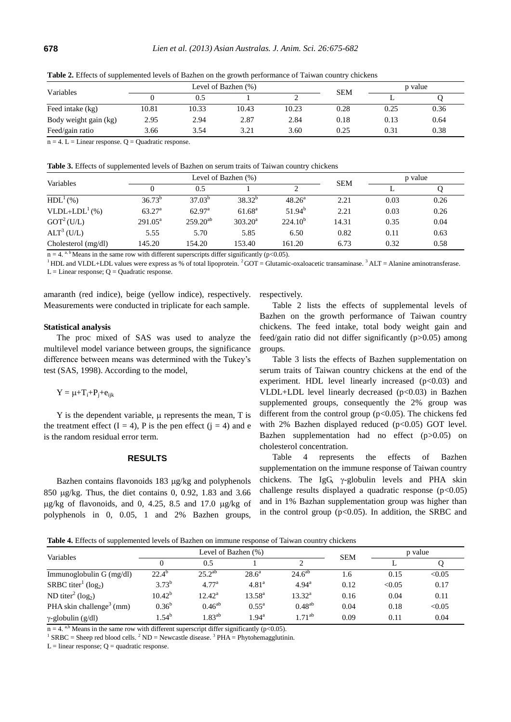| Variables             |       |       | Level of Bazhen $(\%)$ | <b>SEM</b> | p value |      |      |
|-----------------------|-------|-------|------------------------|------------|---------|------|------|
|                       |       |       |                        |            |         |      |      |
| Feed intake (kg)      | 10.81 | 10.33 | 10.43                  | 10.23      | 0.28    | 0.25 | 0.36 |
| Body weight gain (kg) | 2.95  | 2.94  | 2.87                   | 2.84       | 0.18    | 0.13 | 0.64 |
| Feed/gain ratio       | 3.66  | 3.54  | 3.21                   | 3.60       | 0.25    | 0.31 | 0.38 |

**Table 2.** Effects of supplemented levels of Bazhen on the growth performance of Taiwan country chickens

 $n = 4$ . L = Linear response. Q = Quadratic response.

**Table 3.** Effects of supplemented levels of Bazhen on serum traits of Taiwan country chickens

| Variables              |                 |                    | Level of Bazhen (%) | <b>SEM</b>      | p value |      |      |
|------------------------|-----------------|--------------------|---------------------|-----------------|---------|------|------|
|                        |                 | 0.5                |                     |                 |         |      |      |
| HDL <sup>1</sup> (%)   | $36.73^{b}$     | $37.03^{b}$        | $38.32^{b}$         | $48.26^{\circ}$ | 2.21    | 0.03 | 0.26 |
| $VLDL+LDL1(%)$         | $63.27^{\rm a}$ | 62.97 <sup>a</sup> | $61.68^{\rm a}$     | $51.94^{b}$     | 2.21    | 0.03 | 0.26 |
| GOT <sup>2</sup> (U/L) | $291.05^a$      | $259.20^{ab}$      | 303.20 <sup>a</sup> | $224.10^{b}$    | 14.31   | 0.35 | 0.04 |
| $ALT^3(U/L)$           | 5.55            | 5.70               | 5.85                | 6.50            | 0.82    | 0.11 | 0.63 |
| Cholesterol $(mg/dl)$  | 145.20          | 154.20             | 153.40              | 161.20          | 6.73    | 0.32 | 0.58 |

 $n = 4$ . a, b Means in the same row with different superscripts differ significantly (p<0.05).

 $1<sup>1</sup> HDL$  and VLDL+LDL values were express as % of total lipoprotein.  $2$  GOT = Glutamic-oxaloacetic transaminase.  $3$  ALT = Alanine aminotransferase.  $L =$  Linear response;  $Q =$ Quadratic response.

amaranth (red indice), beige (yellow indice), respectively. Measurements were conducted in triplicate for each sample.

#### **Statistical analysis**

The proc mixed of SAS was used to analyze the multilevel model variance between groups, the significance difference between means was determined with the Tukey's test (SAS, 1998). According to the model,

 $Y = \mu + T_i + P_i + e_{iik}$ 

 $Y$  is the dependent variable,  $\mu$  represents the mean,  $T$  is the treatment effect  $(I = 4)$ , P is the pen effect  $(j = 4)$  and e is the random residual error term.

#### **RESULTS**

Bazhen contains flavonoids  $183 \mu g/kg$  and polyphenols 850 g/kg. Thus, the diet contains 0, 0.92, 1.83 and 3.66  $\mu$ g/kg of flavonoids, and 0, 4.25, 8.5 and 17.0  $\mu$ g/kg of polyphenols in 0, 0.05, 1 and 2% Bazhen groups,

respectively.

Table 2 lists the effects of supplemental levels of Bazhen on the growth performance of Taiwan country chickens. The feed intake, total body weight gain and feed/gain ratio did not differ significantly (p>0.05) among groups.

Table 3 lists the effects of Bazhen supplementation on serum traits of Taiwan country chickens at the end of the experiment. HDL level linearly increased  $(p<0.03)$  and VLDL+LDL level linearly decreased  $(p<0.03)$  in Bazhen supplemented groups, consequently the 2% group was different from the control group  $(p<0.05)$ . The chickens fed with 2% Bazhen displayed reduced  $(p<0.05)$  GOT level. Bazhen supplementation had no effect (p>0.05) on cholesterol concentration.

Table 4 represents the effects of Bazhen supplementation on the immune response of Taiwan country chickens. The IgG,  $\gamma$ -globulin levels and PHA skin challenge results displayed a quadratic response  $(p<0.05)$ and in 1% Bazhan supplementation group was higher than in the control group  $(p<0.05)$ . In addition, the SRBC and

**Table 4.** Effects of supplemented levels of Bazhen on immune response of Taiwan country chickens

| Variables                                 |                | Level of Bazhen (%) |                   | <b>SEM</b>      | p value |        |        |
|-------------------------------------------|----------------|---------------------|-------------------|-----------------|---------|--------|--------|
|                                           |                | 0.5                 |                   |                 |         |        |        |
| Immunoglobulin $G$ (mg/dl)                | $22.4^{\circ}$ | $25.2^{ab}$         | $28.6^a$          | $24.6^{ab}$     | 1.6     | 0.15   | < 0.05 |
| SRBC titer <sup>1</sup> ( $log_2$ )       | $3.73^{b}$     | 4.77 <sup>a</sup>   | 4.81 <sup>a</sup> | $4.94^{\rm a}$  | 0.12    | < 0.05 | 0.17   |
| ND titer <sup>2</sup> (log <sub>2</sub> ) | $10.42^{b}$    | $12.42^{\rm a}$     | $13.58^{\rm a}$   | $13.32^{\rm a}$ | 0.16    | 0.04   | 0.11   |
| PHA skin challenge <sup>3</sup> (mm)      | $0.36^{b}$     | $0.46^{ab}$         | $0.55^{\rm a}$    | $0.48^{ab}$     | 0.04    | 0.18   | < 0.05 |
| $\gamma$ -globulin (g/dl)                 | $1.54^{\rm b}$ | $1.83^{ab}$         | $1.94^{\rm a}$    | $1.71^{ab}$     | 0.09    | 0.11   | 0.04   |

 $n = 4$ . <sup>a,b</sup> Means in the same row with different superscript differ significantly (p<0.05).

<sup>1</sup> SRBC = Sheep red blood cells. <sup>2</sup> ND = Newcastle disease. <sup>3</sup> PHA = Phytohemagglutinin.

 $L =$  linear response;  $Q =$  quadratic response.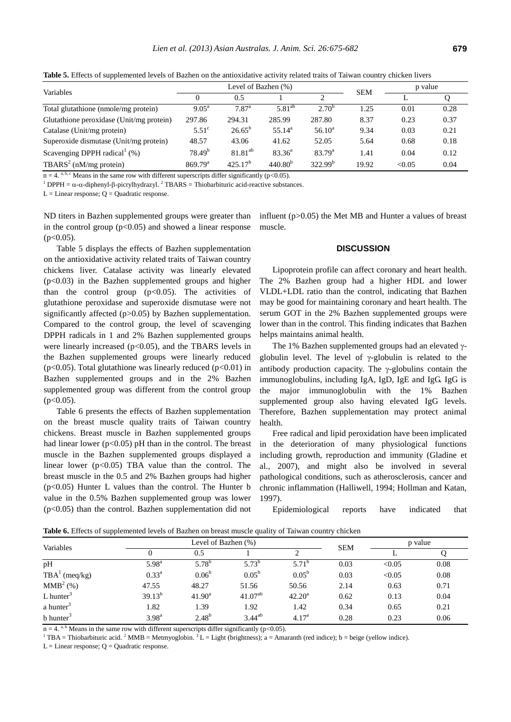**Table 5.** Effects of supplemented levels of Bazhen on the antioxidative activity related traits of Taiwan country chicken livers

| Variables                                   |                      | Level of Bazhen (%) |                 | <b>SEM</b>   | p value |        |      |
|---------------------------------------------|----------------------|---------------------|-----------------|--------------|---------|--------|------|
|                                             | 0.5<br>◠<br>$\Omega$ |                     |                 |              |         |        |      |
| Total glutathione (nmole/mg protein)        | $9.05^{\text{a}}$    | 7.87 <sup>a</sup>   | $5.81^{ab}$     | $2.70^{b}$   | 1.25    | 0.01   | 0.28 |
| Glutathione peroxidase (Unit/mg protein)    | 297.86               | 294.31              | 285.99          | 287.80       | 8.37    | 0.23   | 0.37 |
| Catalase (Unit/mg protein)                  | $5.51^\circ$         | $26.65^{b}$         | $55.14^{\circ}$ | $56.10^a$    | 9.34    | 0.03   | 0.21 |
| Superoxide dismutase (Unit/mg protein)      | 48.57                | 43.06               | 41.62           | 52.05        | 5.64    | 0.68   | 0.18 |
| Scavenging DPPH radical <sup>1</sup> $(\%)$ | 78.49 <sup>b</sup>   | $81.81^{ab}$        | $83.36^{\circ}$ | $83.79^{a}$  | 1.41    | 0.04   | 0.12 |
| TBARS <sup>2</sup> (nM/mg protein)          | 869.79 <sup>a</sup>  | $425.17^{b}$        | $440.80^{b}$    | $322.99^{b}$ | 19.92   | < 0.05 | 0.04 |

 $n = 4$ . a, b, c Means in the same row with different superscripts differ significantly (p<0.05).

 $1^1$  DPPH =  $\alpha$ - $\alpha$ -diphenyl- $\beta$ -picrylhydrazyl.  $2^1$  TBARS = Thiobarbituric acid-reactive substances.

 $L =$  Linear response;  $Q =$  Quadratic response.

ND titers in Bazhen supplemented groups were greater than in the control group  $(p<0.05)$  and showed a linear response  $(p<0.05)$ .

Table 5 displays the effects of Bazhen supplementation on the antioxidative activity related traits of Taiwan country chickens liver. Catalase activity was linearly elevated (p<0.03) in the Bazhen supplemented groups and higher than the control group  $(p<0.05)$ . The activities of glutathione peroxidase and superoxide dismutase were not significantly affected (p>0.05) by Bazhen supplementation. Compared to the control group, the level of scavenging DPPH radicals in 1 and 2% Bazhen supplemented groups were linearly increased ( $p<0.05$ ), and the TBARS levels in the Bazhen supplemented groups were linearly reduced ( $p<0.05$ ). Total glutathione was linearly reduced ( $p<0.01$ ) in Bazhen supplemented groups and in the 2% Bazhen supplemented group was different from the control group  $(p<0.05)$ .

Table 6 presents the effects of Bazhen supplementation on the breast muscle quality traits of Taiwan country chickens. Breast muscle in Bazhen supplemented groups had linear lower ( $p<0.05$ ) pH than in the control. The breast muscle in the Bazhen supplemented groups displayed a linear lower  $(p<0.05)$  TBA value than the control. The breast muscle in the 0.5 and 2% Bazhen groups had higher  $(p<0.05)$  Hunter L values than the control. The Hunter b value in the 0.5% Bazhen supplemented group was lower  $(p<0.05)$  than the control. Bazhen supplementation did not

influent (p>0.05) the Met MB and Hunter a values of breast muscle.

# **DISCUSSION**

Lipoprotein profile can affect coronary and heart health. The 2% Bazhen group had a higher HDL and lower VLDL+LDL ratio than the control, indicating that Bazhen may be good for maintaining coronary and heart health. The serum GOT in the 2% Bazhen supplemented groups were lower than in the control. This finding indicates that Bazhen helps maintains animal health.

The 1% Bazhen supplemented groups had an elevated  $\gamma$ globulin level. The level of  $\gamma$ -globulin is related to the antibody production capacity. The  $\gamma$ -globulins contain the immunoglobulins, including IgA, IgD, IgE and IgG. IgG is the major immunoglobulin with the 1% Bazhen supplemented group also having elevated IgG levels. Therefore, Bazhen supplementation may protect animal health.

Free radical and lipid peroxidation have been implicated in the deterioration of many physiological functions including growth, reproduction and immunity (Gladine et al., 2007), and might also be involved in several pathological conditions, such as atherosclerosis, cancer and chronic inflammation (Halliwell, 1994; Hollman and Katan, 1997).

Epidemiological reports have indicated that

**Table 6.** Effects of supplemented levels of Bazhen on breast muscle quality of Taiwan country chicken

| Variables               |                | Level of Bazhen (%) |                | <b>SEM</b>        | p value |        |      |
|-------------------------|----------------|---------------------|----------------|-------------------|---------|--------|------|
|                         |                | 0.5                 |                |                   |         |        |      |
| pH                      | $5.98^{\rm a}$ | $5.78^{b}$          | $5.73^{b}$     | $5.71^{b}$        | 0.03    | < 0.05 | 0.08 |
| $TBA1$ (meq/kg)         | $0.33^{a}$     | 0.06 <sup>b</sup>   | $0.05^{\rm b}$ | $0.05^{\rm b}$    | 0.03    | < 0.05 | 0.08 |
| MMB <sup>2</sup> (%)    | 47.55          | 48.27               | 51.56          | 50.56             | 2.14    | 0.63   | 0.71 |
| $L$ hunter <sup>3</sup> | $39.13^{b}$    | $41.90^{\rm a}$     | $41.07^{ab}$   | $42.20^{\rm a}$   | 0.62    | 0.13   | 0.04 |
| a hunter <sup>3</sup>   | 1.82           | 1.39                | 1.92           | 1.42              | 0.34    | 0.65   | 0.21 |
| $b$ hunter <sup>3</sup> | $3.98^{a}$     | $2.48^{b}$          | $3.44^{ab}$    | 4.17 <sup>a</sup> | 0.28    | 0.23   | 0.06 |

 $n = 4$ . a, b Means in the same row with different superscripts differ significantly (p<0.05).

<sup>1</sup> TBA = Thiobarbituric acid. <sup>2</sup> MMB = Metmyoglobin. <sup>3</sup> L = Light (brightness); a = Amaranth (red indice); b = beige (yellow indice).

 $L =$  Linear response;  $Q =$  Quadratic response.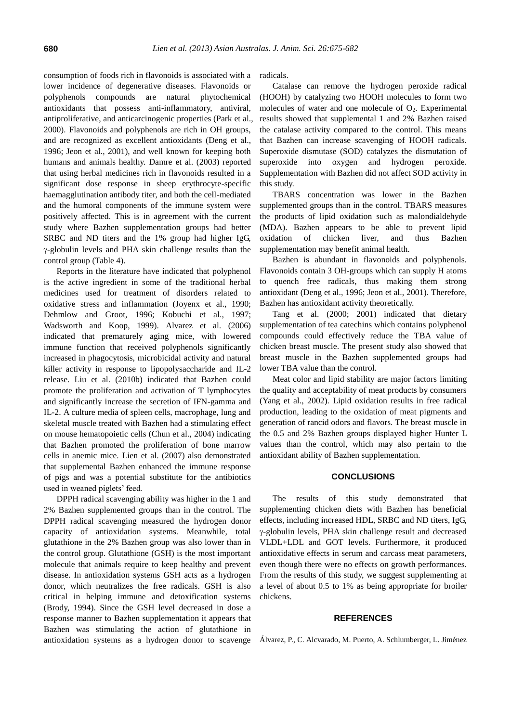consumption of foods rich in flavonoids is associated with a lower incidence of degenerative diseases. Flavonoids or polyphenols compounds are natural phytochemical antioxidants that possess anti-inflammatory, antiviral, antiproliferative, and anticarcinogenic properties (Park et al., 2000). Flavonoids and polyphenols are rich in OH groups, and are recognized as excellent antioxidants (Deng et al., 1996; Jeon et al., 2001), and well known for keeping both humans and animals healthy. Damre et al. (2003) reported that using herbal medicines rich in flavonoids resulted in a significant dose response in sheep erythrocyte-specific haemagglutination antibody titer, and both the cell-mediated and the humoral components of the immune system were positively affected. This is in agreement with the current study where Bazhen supplementation groups had better SRBC and ND titers and the 1% group had higher IgG, -globulin levels and PHA skin challenge results than the control group (Table 4).

Reports in the literature have indicated that polyphenol is the active ingredient in some of the traditional herbal medicines used for treatment of disorders related to oxidative stress and inflammation (Joyenx et al., 1990; Dehmlow and Groot, 1996; Kobuchi et al., 1997; Wadsworth and Koop, 1999). Alvarez et al. (2006) indicated that prematurely aging mice, with lowered immune function that received polyphenols significantly increased in phagocytosis, microbicidal activity and natural killer activity in response to lipopolysaccharide and IL-2 release. Liu et al. (2010b) indicated that Bazhen could promote the proliferation and activation of T lymphocytes and significantly increase the secretion of IFN-gamma and IL-2. A culture media of spleen cells, macrophage, lung and skeletal muscle treated with Bazhen had a stimulating effect on mouse hematopoietic cells (Chun et al., 2004) indicating that Bazhen promoted the proliferation of bone marrow cells in anemic mice. Lien et al. (2007) also demonstrated that supplemental Bazhen enhanced the immune response of pigs and was a potential substitute for the antibiotics used in weaned piglets' feed.

DPPH radical scavenging ability was higher in the 1 and 2% Bazhen supplemented groups than in the control. The DPPH radical scavenging measured the hydrogen donor capacity of antioxidation systems. Meanwhile, total glutathione in the 2% Bazhen group was also lower than in the control group. Glutathione (GSH) is the most important molecule that animals require to keep healthy and prevent disease. In antioxidation systems GSH acts as a hydrogen donor, which neutralizes the free radicals. GSH is also critical in helping immune and detoxification systems (Brody, 1994). Since the GSH level decreased in dose a response manner to Bazhen supplementation it appears that Bazhen was stimulating the action of glutathione in antioxidation systems as a hydrogen donor to scavenge radicals.

Catalase can remove the hydrogen peroxide radical (HOOH) by catalyzing two HOOH molecules to form two molecules of water and one molecule of  $O<sub>2</sub>$ . Experimental results showed that supplemental 1 and 2% Bazhen raised the catalase activity compared to the control. This means that Bazhen can increase scavenging of HOOH radicals. Superoxide dismutase (SOD) catalyzes the dismutation of superoxide into oxygen and hydrogen peroxide. Supplementation with Bazhen did not affect SOD activity in this study.

TBARS concentration was lower in the Bazhen supplemented groups than in the control. TBARS measures the products of lipid oxidation such as malondialdehyde (MDA). Bazhen appears to be able to prevent lipid oxidation of chicken liver, and thus Bazhen supplementation may benefit animal health.

Bazhen is abundant in flavonoids and polyphenols. Flavonoids contain 3 OH-groups which can supply H atoms to quench free radicals, thus making them strong antioxidant (Deng et al., 1996; Jeon et al., 2001). Therefore, Bazhen has antioxidant activity theoretically.

Tang et al. (2000; 2001) indicated that dietary supplementation of tea catechins which contains polyphenol compounds could effectively reduce the TBA value of chicken breast muscle. The present study also showed that breast muscle in the Bazhen supplemented groups had lower TBA value than the control.

Meat color and lipid stability are major factors limiting the quality and acceptability of meat products by consumers (Yang et al., 2002). Lipid oxidation results in free radical production, leading to the oxidation of meat pigments and generation of rancid odors and flavors. The breast muscle in the 0.5 and 2% Bazhen groups displayed higher Hunter L values than the control, which may also pertain to the antioxidant ability of Bazhen supplementation.

## **CONCLUSIONS**

The results of this study demonstrated that supplementing chicken diets with Bazhen has beneficial effects, including increased HDL, SRBC and ND titers, IgG, -globulin levels, PHA skin challenge result and decreased VLDL+LDL and GOT levels. Furthermore, it produced antioxidative effects in serum and carcass meat parameters, even though there were no effects on growth performances. From the results of this study, we suggest supplementing at a level of about 0.5 to 1% as being appropriate for broiler chickens.

## **REFERENCES**

Á lvarez, P., C. Alcvarado, M. Puerto, A. Schlumberger, L. Jiménez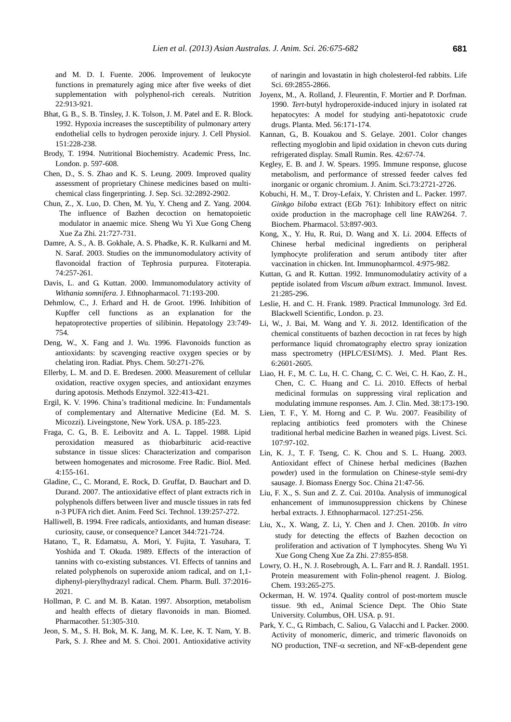and M. D. I. Fuente. 2006. Improvement of leukocyte functions in prematurely aging mice after five weeks of diet supplementation with polyphenol-rich cereals. Nutrition 22:913-921.

- Bhat, G. B., S. B. Tinsley, J. K. Tolson, J. M. Patel and E. R. Block. 1992. Hypoxia increases the susceptibility of pulmonary artery endothelial cells to hydrogen peroxide injury. J. Cell Physiol. 151:228-238.
- Brody, T. 1994. Nutritional Biochemistry. Academic Press, Inc. London. p. 597-608.
- Chen, D., S. S. Zhao and K. S. Leung. 2009. Improved quality assessment of proprietary Chinese medicines based on multichemical class fingerprinting. J. Sep. Sci. 32:2892-2902.
- [Chun, Z.,](http://www.ncbi.nlm.nih.gov/pubmed?term=%22Chun%20Z%22%5BAuthor%5D) X. [Luo,](http://www.ncbi.nlm.nih.gov/pubmed?term=%22Luo%20X%22%5BAuthor%5D) D. [Chen,](http://www.ncbi.nlm.nih.gov/pubmed?term=%22Chen%20D%22%5BAuthor%5D) M. [Yu,](http://www.ncbi.nlm.nih.gov/pubmed?term=%22Yu%20M%22%5BAuthor%5D) Y. [Cheng and](http://www.ncbi.nlm.nih.gov/pubmed?term=%22Cheng%20Y%22%5BAuthor%5D) Z. [Yang.](http://www.ncbi.nlm.nih.gov/pubmed?term=%22Yang%20Z%22%5BAuthor%5D) 2004. The influence of Bazhen decoction on hematopoietic modulator in anaemic mice. Sheng Wu Yi Xue Gong Cheng Xue Za Zhi. 21:727-731.
- Damre, A. S., A. B. Gokhale, A. S. Phadke, K. R. Kulkarni and M. N. Saraf. 2003. Studies on the immunomodulatory activity of flavonoidal fraction of Tephrosia purpurea. Fitoterapia. 74:257-261.
- Davis, L. and G. Kuttan. 2000. Immunomodulatory activity of *Withania somnifera*. J. Ethnopharmacol. 71:193-200.
- Dehmlow, C., J. Erhard and H. de Groot. 1996. Inhibition of Kupffer cell functions as an explanation for the hepatoprotective properties of silibinin. Hepatology 23:749- 754.
- Deng, W., X. Fang and J. Wu. 1996. Flavonoids function as antioxidants: by scavenging reactive oxygen species or by chelating iron. Radiat. Phys. Chem. 50:271-276.
- Ellerby, L. M. and D. E. Bredesen. 2000. Measurement of cellular oxidation, reactive oxygen species, and antioxidant enzymes during apotosis. Methods Enzymol. 322:413-421.
- Ergil, K. V. 1996. China's traditional medicine. In: Fundamentals of complementary and Alternative Medicine (Ed. M. S. Micozzi). Liveingstone, New York. USA. p. 185-223.
- Fraga, C. G., B. E. Leibovitz and A. L. Tappel. 1988. Lipid peroxidation measured as thiobarbituric acid-reactive substance in tissue slices: Characterization and comparison between homogenates and microsome. Free Radic. Biol. Med. 4:155-161.
- Gladine, C., C. Morand, E. Rock, D. Gruffat, D. Bauchart and D. Durand. 2007. The antioxidative effect of plant extracts rich in polyphenols differs between liver and muscle tissues in rats fed n-3 PUFA rich diet. Anim. Feed Sci. Technol. 139:257-272.
- Halliwell, B. 1994. Free radicals, antioxidants, and human disease: curiosity, cause, or consequence? Lancet 344:721-724.
- Hatano, T., R. Edamatsu, A. Mori, Y. Fujita, T. Yasuhara, T. Yoshida and T. Okuda. 1989. Effects of the interaction of tannins with co-existing substances. VI. Effects of tannins and related polyphenols on superoxide aniom radical, and on 1,1 diphenyl-pierylhydrazyl radical. Chem. Pharm. Bull. 37:2016- 2021.
- Hollman, P. C. and M. B. Katan. 1997. Absorption, metabolism and health effects of dietary flavonoids in man. Biomed. Pharmacother. 51:305-310.
- Jeon, S. M., S. H. Bok, M. K. Jang, M. K. Lee, K. T. Nam, Y. B. Park, S. J. Rhee and M. S. Choi. 2001. Antioxidative activity

of naringin and lovastatin in high cholesterol-fed rabbits. Life Sci. 69:2855-2866.

- Joyenx, M., A. Rolland, J. Fleurentin, F. Mortier and P. Dorfman. 1990. *Tert*-butyl hydroperoxide-induced injury in isolated rat hepatocytes: A model for studying anti-hepatotoxic crude drugs. Planta. Med. 56:171-174.
- Kannan, G., B. Kouakou and S. Gelaye. 2001. Color changes reflecting myoglobin and lipid oxidation in chevon cuts during refrigerated display. Small Rumin. Res. 42:67-74.
- Kegley, E. B. and J. W. Spears. 1995. Immune response, glucose metabolism, and performance of stressed feeder calves fed inorganic or organic chromium. J. Anim. Sci.73:2721-2726.
- Kobuchi, H. M., T. Droy-Lefaix, Y. Christen and L. Packer. 1997. *Ginkgo biloba* extract (EGb 761): Inhibitory effect on nitric oxide production in the macrophage cell line RAW264. 7. Biochem. Pharmacol. 53:897-903.
- Kong, X., Y. Hu, R. Rui, D. Wang and X. Li. 2004. Effects of Chinese herbal medicinal ingredients on peripheral lymphocyte proliferation and serum antibody titer after vaccination in chicken. Int. Immunopharmcol. 4:975-982.
- Kuttan, G. and R. Kuttan. 1992. Immunomodulatiry activity of a peptide isolated from *Viscum album* extract. Immunol. Invest. 21:285-296.
- Leslie, H. and C. H. Frank. 1989. Practical Immunology. 3rd Ed. Blackwell Scientific, London. p. 23.
- Li, W., J. Bai, M. Wang and Y. Ji. 2012. Identification of the chemical constituents of bazhen decoction in rat feces by high performance liquid chromatography electro spray ionization mass spectrometry (HPLC/ESI/MS). J. Med. Plant Res. 6:2601-2605.
- [Liao, H. F.](http://www.ncbi.nlm.nih.gov/pubmed?term=%22Liao%20HF%22%5BAuthor%5D), M. C. [Lu, H](http://www.ncbi.nlm.nih.gov/pubmed?term=%22Lu%20MC%22%5BAuthor%5D). C. [Chang, C](http://www.ncbi.nlm.nih.gov/pubmed?term=%22Chang%20HC%22%5BAuthor%5D). C. [Wei, C](http://www.ncbi.nlm.nih.gov/pubmed?term=%22Wei%20CC%22%5BAuthor%5D). H. [Kao, Z. H.](http://www.ncbi.nlm.nih.gov/pubmed?term=%22Kao%20CH%22%5BAuthor%5D), [Chen, C](http://www.ncbi.nlm.nih.gov/pubmed?term=%22Chen%20ZH%22%5BAuthor%5D). C. [Huang and C.](http://www.ncbi.nlm.nih.gov/pubmed?term=%22Huang%20CC%22%5BAuthor%5D) [Li.](http://www.ncbi.nlm.nih.gov/pubmed?term=%22Li%20C%22%5BAuthor%5D) 2010. Effects of herbal medicinal formulas on suppressing viral replication and modulating immune responses. Am. J. Clin. Med. 38:173-190.
- Lien, T. F., Y. M. Horng and C. P. Wu. 2007. Feasibility of replacing antibiotics feed promoters with the Chinese traditional herbal medicine Bazhen in weaned pigs. Livest. Sci. 107:97-102.
- Lin, K. J., T. F. Tseng, C. K. Chou and S. L. Huang. 2003. Antioxidant effect of Chinese herbal medicines (Bazhen powder) used in the formulation on Chinese-style semi-dry sausage. J. Biomass Energy Soc. China 21:47-56.
- Liu, F. X., S. Sun and Z. Z. Cui. 2010a. Analysis of immunogical enhancement of immunosuppression chickens by Chinese herbal extracts. J. Ethnopharmacol. 127:251-256.
- [Liu, X](http://www.ncbi.nlm.nih.gov/pubmed?term=%22Liu%20X%22%5BAuthor%5D)., X. [Wang,](http://www.ncbi.nlm.nih.gov/pubmed?term=%22Wang%20X%22%5BAuthor%5D) Z. [Li,](http://www.ncbi.nlm.nih.gov/pubmed?term=%22Li%20Z%22%5BAuthor%5D) Y. [Chen](http://www.ncbi.nlm.nih.gov/pubmed?term=%22Chen%20Y%22%5BAuthor%5D) and J. [Chen.](http://www.ncbi.nlm.nih.gov/pubmed?term=%22Chen%20J%22%5BAuthor%5D) 2010b. *In vitro* study for detecting the effects of Bazhen decoction on proliferation and activation of T lymphocytes. Sheng Wu Yi Xue Gong Cheng Xue Za Zhi. 27:855-858.
- Lowry, O. H., N. J. Rosebrough, A. L. Farr and R. J. Randall. 1951. Protein measurement with Folin-phenol reagent. J. Biolog. Chem. 193:265-275.
- Ockerman, H. W. 1974. Quality control of post-mortem muscle tissue. 9th ed., Animal Science Dept. The Ohio State University. Columbus, OH. USA. p. 91.
- Park, Y. C., G. Rimbach, C. Saliou, G. Valacchi and I. Packer. 2000. Activity of monomeric, dimeric, and trimeric flavonoids on NO production, TNF- $\alpha$  secretion, and NF- $\kappa$ B-dependent gene